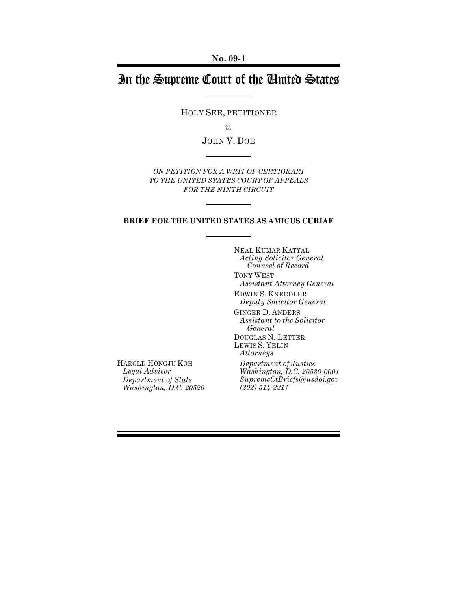**No. 09-1**

# In the Supreme Court of the United States

HOLY SEE, PETITIONER

*v.*

JOHN V. DOE

*ON PETITION FOR A WRIT OF CERTIORARI TO THE UNITED STATES COURT OF APPEALS FOR THE NINTH CIRCUIT*

#### **BRIEF FOR THE UNITED STATES AS AMICUS CURIAE**

NEAL KUMAR KATYAL *Acting Solicitor General Counsel of Record*

TONY WEST *Assistant Attorney General*

EDWIN S. KNEEDLER *Deputy Solicitor General*

GINGER D. ANDERS *Assistant to the Solicitor General*

DOUGLAS N. LETTER LEWIS S. YELIN *Attorneys* 

*Department of Justice Washington, D.C. 20530-0001 SupremeCtBriefs@usdoj.gov (202) 514-2217*

HAROLD HONGJU KOH *Legal Adviser Department of State Washington, D.C. 20520*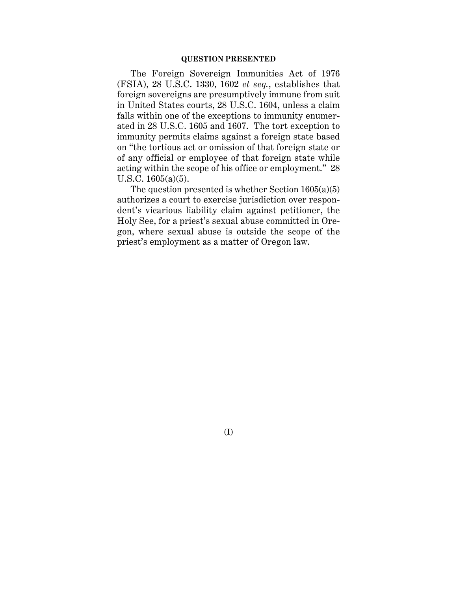The Foreign Sovereign Immunities Act of 1976 (FSIA), 28 U.S.C. 1330, 1602 *et seq.*, establishes that foreign sovereigns are presumptively immune from suit in United States courts, 28 U.S.C. 1604, unless a claim falls within one of the exceptions to immunity enumerated in 28 U.S.C. 1605 and 1607. The tort exception to immunity permits claims against a foreign state based on "the tortious act or omission of that foreign state or of any official or employee of that foreign state while acting within the scope of his office or employment." 28 U.S.C. 1605(a)(5).

The question presented is whether Section  $1605(a)(5)$ authorizes a court to exercise jurisdiction over respondent's vicarious liability claim against petitioner, the Holy See, for a priest's sexual abuse committed in Oregon, where sexual abuse is outside the scope of the priest's employment as a matter of Oregon law.

(I)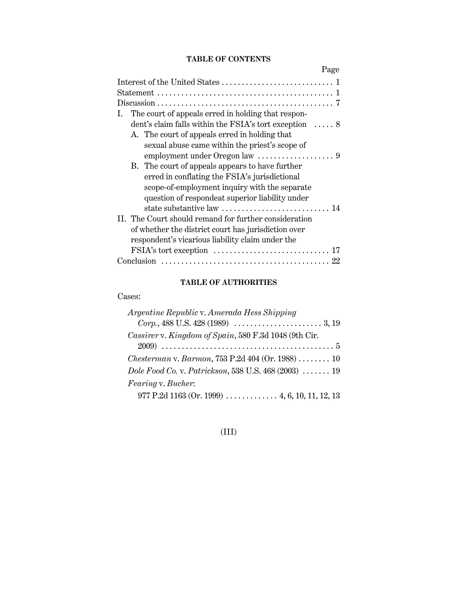## **TABLE OF CONTENTS**

|                                                                                                              | Page |
|--------------------------------------------------------------------------------------------------------------|------|
|                                                                                                              |      |
|                                                                                                              |      |
| $Discussion \dots \dots \dots \dots \dots \dots \dots \dots \dots \dots \dots \dots \dots \dots \dots \dots$ |      |
| The court of appeals erred in holding that respon-<br>Ι.                                                     |      |
| dent's claim falls within the FSIA's tort exception  8                                                       |      |
| A. The court of appeals erred in holding that                                                                |      |
| sexual abuse came within the priest's scope of                                                               |      |
|                                                                                                              |      |
| B. The court of appeals appears to have further                                                              |      |
| erred in conflating the FSIA's jurisdictional                                                                |      |
| scope-of-employment inquiry with the separate                                                                |      |
| question of respondeat superior liability under                                                              |      |
| state substantive law $\dots\dots\dots\dots\dots\dots\dots\dots$ 14                                          |      |
| II. The Court should remand for further consideration                                                        |      |
| of whether the district court has jurisdiction over                                                          |      |
| respondent's vicarious liability claim under the                                                             |      |
| FSIA's tort exception                                                                                        | 17   |
|                                                                                                              | 22   |

## **TABLE OF AUTHORITIES**

### Cases:

| Argentine Republic v. Amerada Hess Shipping                                    |
|--------------------------------------------------------------------------------|
|                                                                                |
| Cassirer v. Kingdom of Spain, 580 F.3d 1048 (9th Cir.                          |
|                                                                                |
| <i>Chesterman v. Barmon,</i> 753 P.2d 404 (Or. 1988) $\ldots \ldots \ldots$ 10 |
| Dole Food Co. v. Patrickson, 538 U.S. 468 (2003)  19                           |
| Fearing v. Bucher:                                                             |
|                                                                                |

## (III)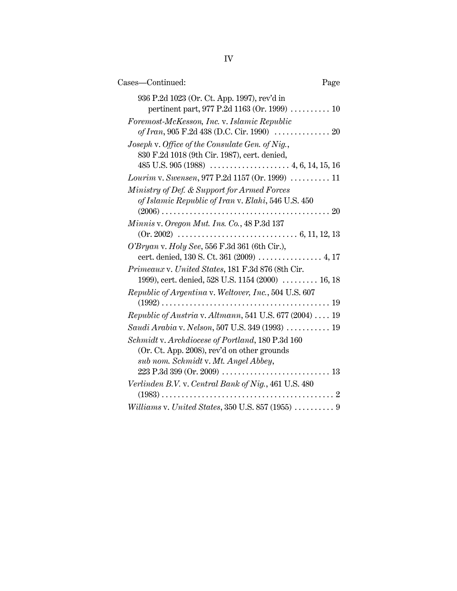| Cases—Continued:                                                                                                                        | Page |
|-----------------------------------------------------------------------------------------------------------------------------------------|------|
| 936 P.2d 1023 (Or. Ct. App. 1997), rev'd in<br>pertinent part, 977 P.2d 1163 (Or. 1999)  10                                             |      |
| Foremost-McKesson, Inc. v. Islamic Republic                                                                                             |      |
| Joseph v. Office of the Consulate Gen. of Nig.,<br>830 F.2d 1018 (9th Cir. 1987), cert. denied,                                         |      |
|                                                                                                                                         |      |
| Ministry of Def. & Support for Armed Forces<br>of Islamic Republic of Iran v. Elahi, 546 U.S. 450                                       |      |
| Minnis v. Oregon Mut. Ins. Co., 48 P.3d 137                                                                                             |      |
| O'Bryan v. Holy See, 556 F.3d 361 (6th Cir.),<br>cert. denied, 130 S. Ct. 361 (2009)  4, 17                                             |      |
| Primeaux v. United States, 181 F.3d 876 (8th Cir.<br>1999), cert. denied, 528 U.S. 1154 (2000)  16, 18                                  |      |
| Republic of Argentina v. Weltover, Inc., 504 U.S. 607                                                                                   |      |
| Republic of Austria v. Altmann, 541 U.S. 677 (2004)  19                                                                                 |      |
| Saudi Arabia v. Nelson, 507 U.S. 349 (1993)  19                                                                                         |      |
| Schmidt v. Archdiocese of Portland, 180 P.3d 160<br>(Or. Ct. App. 2008), rev'd on other grounds<br>sub nom. Schmidt v. Mt. Angel Abbey, |      |
| Verlinden B.V. v. Central Bank of Nig., 461 U.S. 480                                                                                    |      |
| Williams v. United States, 350 U.S. 857 (1955)  9                                                                                       |      |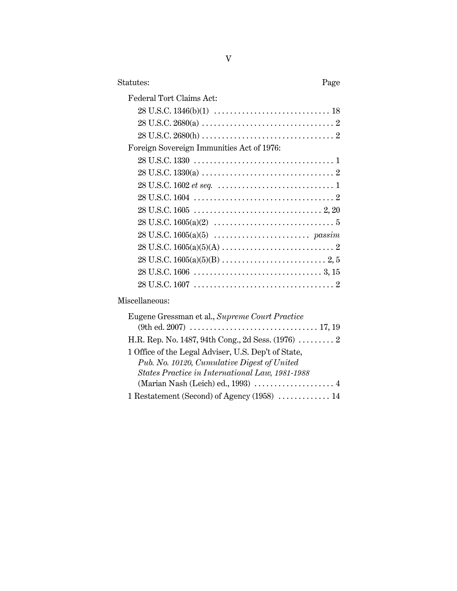| Statutes:<br>Page                              |  |
|------------------------------------------------|--|
| Federal Tort Claims Act:                       |  |
|                                                |  |
|                                                |  |
|                                                |  |
| Foreign Sovereign Immunities Act of 1976:      |  |
|                                                |  |
|                                                |  |
|                                                |  |
|                                                |  |
|                                                |  |
|                                                |  |
|                                                |  |
|                                                |  |
|                                                |  |
|                                                |  |
|                                                |  |
| Miscellaneous:                                 |  |
| Eugene Gressman et al., Supreme Court Practice |  |

| Eugene Gressman et al., Supreme Court Practice      |
|-----------------------------------------------------|
|                                                     |
| H.R. Rep. No. 1487, 94th Cong., 2d Sess. $(1976)$ 2 |
| 1 Office of the Legal Adviser, U.S. Dep't of State, |
| Pub. No. 10120, Cumulative Digest of United         |
| States Practice in International Law, 1981-1988     |
|                                                     |
| 1 Restatement (Second) of Agency $(1958)$ 14        |
|                                                     |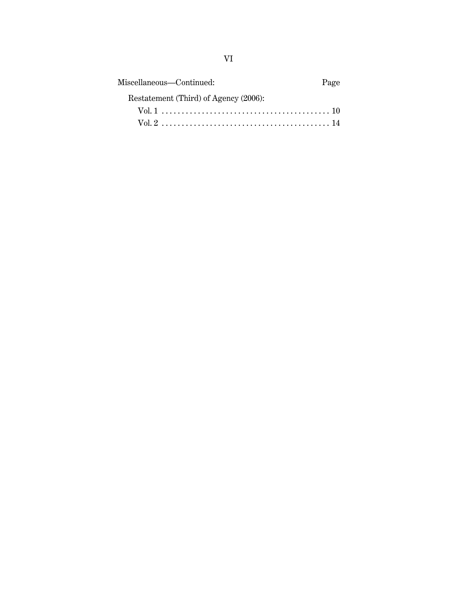| Miscellaneous—Continued:              | Page |
|---------------------------------------|------|
| Restatement (Third) of Agency (2006): |      |
|                                       |      |
|                                       |      |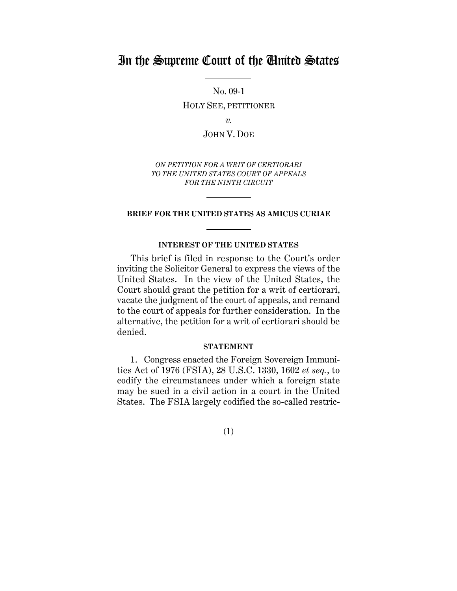## In the Supreme Court of the United States

No. 09-1 HOLY SEE, PETITIONER

*v.*

JOHN V. DOE

*ON PETITION FOR A WRIT OF CERTIORARI TO THE UNITED STATES COURT OF APPEALS FOR THE NINTH CIRCUIT*

#### **BRIEF FOR THE UNITED STATES AS AMICUS CURIAE**

#### **INTEREST OF THE UNITED STATES**

This brief is filed in response to the Court's order inviting the Solicitor General to express the views of the United States. In the view of the United States, the Court should grant the petition for a writ of certiorari, vacate the judgment of the court of appeals, and remand to the court of appeals for further consideration. In the alternative, the petition for a writ of certiorari should be denied.

#### **STATEMENT**

1. Congress enacted the Foreign Sovereign Immunities Act of 1976 (FSIA), 28 U.S.C. 1330, 1602 *et seq.*, to codify the circumstances under which a foreign state may be sued in a civil action in a court in the United States. The FSIA largely codified the so-called restric-

(1)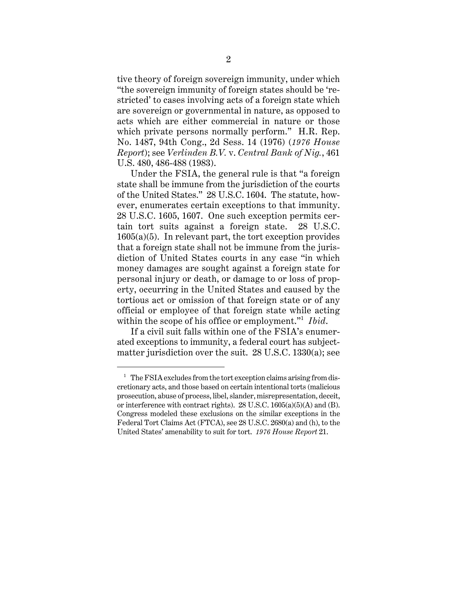tive theory of foreign sovereign immunity, under which "the sovereign immunity of foreign states should be 'restricted' to cases involving acts of a foreign state which are sovereign or governmental in nature, as opposed to acts which are either commercial in nature or those which private persons normally perform." H.R. Rep. No. 1487, 94th Cong., 2d Sess. 14 (1976) (*1976 House Report*); see *Verlinden B.V.* v. *Central Bank of Nig.*, 461 U.S. 480, 486-488 (1983).

Under the FSIA, the general rule is that "a foreign state shall be immune from the jurisdiction of the courts of the United States." 28 U.S.C. 1604. The statute, however, enumerates certain exceptions to that immunity. 28 U.S.C. 1605, 1607. One such exception permits certain tort suits against a foreign state. 28 U.S.C.  $1605(a)(5)$ . In relevant part, the tort exception provides that a foreign state shall not be immune from the jurisdiction of United States courts in any case "in which money damages are sought against a foreign state for personal injury or death, or damage to or loss of property, occurring in the United States and caused by the tortious act or omission of that foreign state or of any official or employee of that foreign state while acting within the scope of his office or employment."<sup>1</sup> *Ibid*.

If a civil suit falls within one of the FSIA's enumerated exceptions to immunity, a federal court has subjectmatter jurisdiction over the suit. 28 U.S.C. 1330(a); see

 $1$  The FSIA excludes from the tort exception claims arising from discretionary acts, and those based on certain intentional torts (malicious prosecution, abuse of process, libel, slander, misrepresentation, deceit, or interference with contract rights).  $28 \text{ U.S.C. } 1605 \text{(a)} \cdot (5) \text{(A)}$  and (B). Congress modeled these exclusions on the similar exceptions in the Federal Tort Claims Act (FTCA), see 28 U.S.C. 2680(a) and (h), to the United States' amenability to suit for tort. *1976 House Report* 21.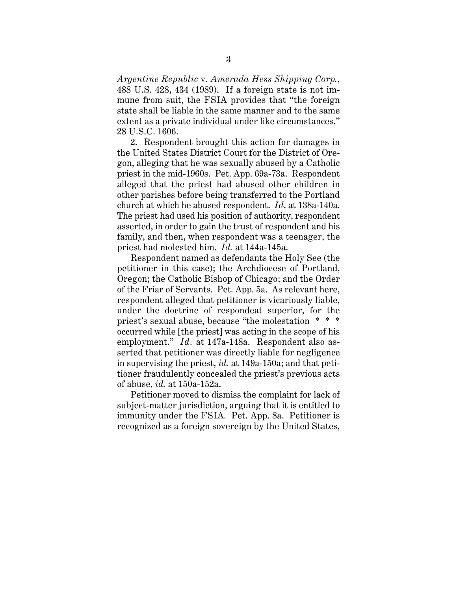*Argentine Republic* v. *Amerada Hess Shipping Corp.*, 488 U.S. 428, 434 (1989). If a foreign state is not immune from suit, the FSIA provides that "the foreign state shall be liable in the same manner and to the same extent as a private individual under like circumstances." 28 U.S.C. 1606.

2. Respondent brought this action for damages in the United States District Court for the District of Oregon, alleging that he was sexually abused by a Catholic priest in the mid-1960s. Pet. App. 69a-73a. Respondent alleged that the priest had abused other children in other parishes before being transferred to the Portland church at which he abused respondent. *Id*. at 138a-140a. The priest had used his position of authority, respondent asserted, in order to gain the trust of respondent and his family, and then, when respondent was a teenager, the priest had molested him. *Id.* at 144a-145a.

Respondent named as defendants the Holy See (the petitioner in this case); the Archdiocese of Portland, Oregon; the Catholic Bishop of Chicago; and the Order of the Friar of Servants. Pet. App. 5a. As relevant here, respondent alleged that petitioner is vicariously liable, under the doctrine of respondeat superior, for the priest's sexual abuse, because "the molestation \* \* \* occurred while [the priest] was acting in the scope of his employment." *Id.* at 147a-148a. Respondent also asserted that petitioner was directly liable for negligence in supervising the priest, *id.* at 149a-150a; and that petitioner fraudulently concealed the priest's previous acts of abuse, *id.* at 150a-152a.

Petitioner moved to dismiss the complaint for lack of subject-matter jurisdiction, arguing that it is entitled to immunity under the FSIA. Pet. App. 8a. Petitioner is recognized as a foreign sovereign by the United States,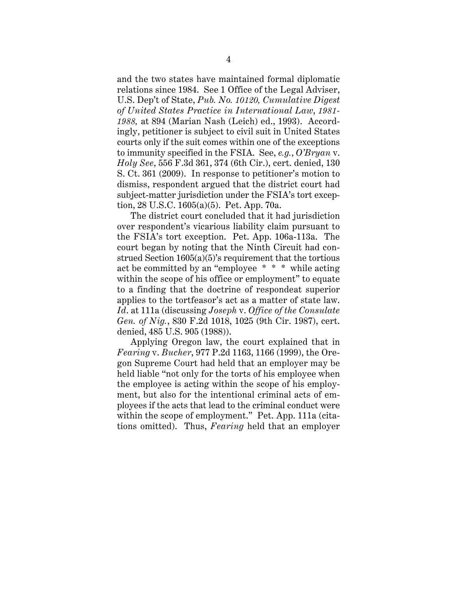and the two states have maintained formal diplomatic relations since 1984. See 1 Office of the Legal Adviser, U.S. Dep't of State, *Pub. No. 10120, Cumulative Digest of United States Practice in International Law*, *1981- 1988,* at 894 (Marian Nash (Leich) ed., 1993). Accordingly, petitioner is subject to civil suit in United States courts only if the suit comes within one of the exceptions to immunity specified in the FSIA. See, *e.g.*, *O'Bryan* v. *Holy See*, 556 F.3d 361, 374 (6th Cir.), cert. denied, 130 S. Ct. 361 (2009). In response to petitioner's motion to dismiss, respondent argued that the district court had subject-matter jurisdiction under the FSIA's tort exception, 28 U.S.C. 1605(a)(5). Pet. App. 70a.

The district court concluded that it had jurisdiction over respondent's vicarious liability claim pursuant to the FSIA's tort exception. Pet. App. 106a-113a. The court began by noting that the Ninth Circuit had construed Section 1605(a)(5)'s requirement that the tortious act be committed by an "employee \* \* \* while acting within the scope of his office or employment" to equate to a finding that the doctrine of respondeat superior applies to the tortfeasor's act as a matter of state law. *Id*. at 111a (discussing *Joseph* v. *Office of the Consulate Gen. of Nig.*, 830 F.2d 1018, 1025 (9th Cir. 1987), cert. denied, 485 U.S. 905 (1988)).

Applying Oregon law, the court explained that in *Fearing* v. *Bucher*, 977 P.2d 1163, 1166 (1999), the Oregon Supreme Court had held that an employer may be held liable "not only for the torts of his employee when the employee is acting within the scope of his employment, but also for the intentional criminal acts of employees if the acts that lead to the criminal conduct were within the scope of employment." Pet. App. 111a (citations omitted). Thus, *Fearing* held that an employer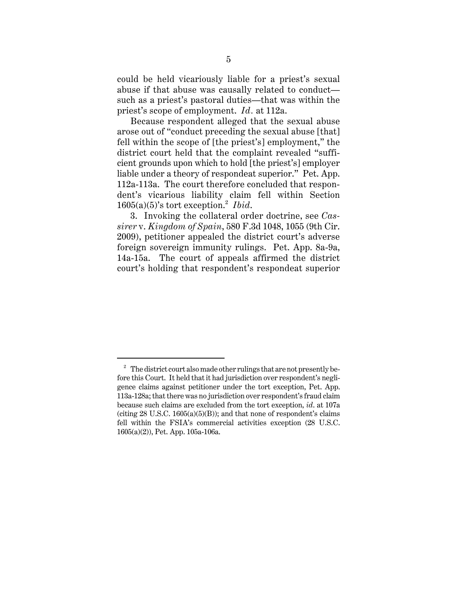could be held vicariously liable for a priest's sexual abuse if that abuse was causally related to conduct such as a priest's pastoral duties—that was within the priest's scope of employment. *Id.* at 112a.

Because respondent alleged that the sexual abuse arose out of "conduct preceding the sexual abuse [that] fell within the scope of [the priest's] employment," the district court held that the complaint revealed "sufficient grounds upon which to hold [the priest's] employer liable under a theory of respondeat superior." Pet. App. 112a-113a. The court therefore concluded that respondent's vicarious liability claim fell within Section 1605(a)(5)'s tort exception.<sup>2</sup> *Ibid*.

3. Invoking the collateral order doctrine, see *Cassirer* v. *Kingdom of Spain*, 580 F.3d 1048, 1055 (9th Cir. 2009), petitioner appealed the district court's adverse foreign sovereign immunity rulings. Pet. App. 8a-9a, 14a-15a. The court of appeals affirmed the district court's holding that respondent's respondeat superior

<sup>&</sup>lt;sup>2</sup> The district court also made other rulings that are not presently before this Court. It held that it had jurisdiction over respondent's negligence claims against petitioner under the tort exception, Pet. App. 113a-128a; that there was no jurisdiction over respondent's fraud claim because such claims are excluded from the tort exception, *id*. at 107a (citing  $28$  U.S.C.  $1605(a)(5)(B)$ ); and that none of respondent's claims fell within the FSIA's commercial activities exception (28 U.S.C. 1605(a)(2)), Pet. App. 105a-106a.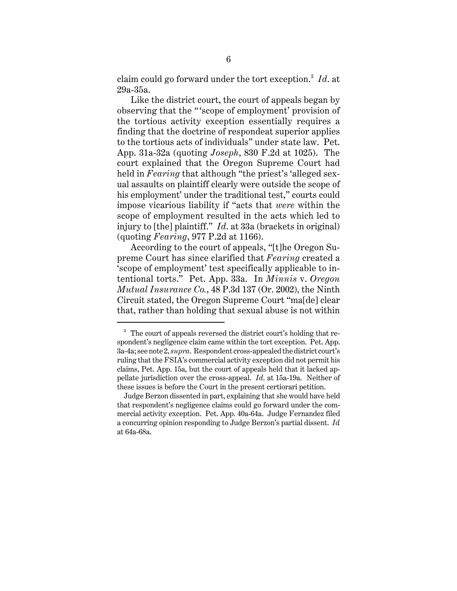claim could go forward under the tort exception.<sup>3</sup> *Id*. at 29a-35a.

Like the district court, the court of appeals began by observing that the "'scope of employment' provision of the tortious activity exception essentially requires a finding that the doctrine of respondeat superior applies to the tortious acts of individuals" under state law. Pet. App. 31a-32a (quoting *Joseph*, 830 F.2d at 1025). The court explained that the Oregon Supreme Court had held in *Fearing* that although "the priest's 'alleged sexual assaults on plaintiff clearly were outside the scope of his employment' under the traditional test," courts could impose vicarious liability if "acts that *were* within the scope of employment resulted in the acts which led to injury to [the] plaintiff." *Id*. at 33a (brackets in original) (quoting *Fearing*, 977 P.2d at 1166).

According to the court of appeals, "[t]he Oregon Supreme Court has since clarified that *Fearing* created a 'scope of employment' test specifically applicable to intentional torts." Pet. App. 33a. In *Minnis* v. *Oregon Mutual Insurance Co.*, 48 P.3d 137 (Or. 2002), the Ninth Circuit stated, the Oregon Supreme Court "ma[de] clear that, rather than holding that sexual abuse is not within

<sup>&</sup>lt;sup>3</sup> The court of appeals reversed the district court's holding that respondent's negligence claim came within the tort exception. Pet. App. 3a-4a; see note 2, *supra*. Respondent cross-appealed the district court's ruling that the FSIA's commercial activity exception did not permit his claims, Pet. App. 15a, but the court of appeals held that it lacked appellate jurisdiction over the cross-appeal. *Id*. at 15a-19a. Neither of these issues is before the Court in the present certiorari petition.

Judge Berzon dissented in part, explaining that she would have held that respondent's negligence claims could go forward under the commercial activity exception. Pet. App. 40a-64a. Judge Fernandez filed a concurring opinion responding to Judge Berzon's partial dissent. *Id.* at 64a-68a.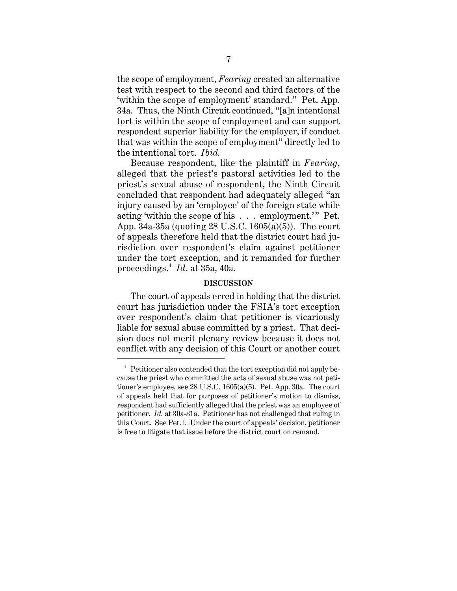the scope of employment, *Fearing* created an alternative test with respect to the second and third factors of the 'within the scope of employment' standard." Pet. App. 34a. Thus, the Ninth Circuit continued, "[a]n intentional tort is within the scope of employment and can support respondeat superior liability for the employer, if conduct that was within the scope of employment" directly led to the intentional tort. *Ibid.*

Because respondent, like the plaintiff in *Fearing*, alleged that the priest's pastoral activities led to the priest's sexual abuse of respondent, the Ninth Circuit concluded that respondent had adequately alleged "an injury caused by an 'employee' of the foreign state while acting 'within the scope of his . . . employment.'" Pet. App. 34a-35a (quoting 28 U.S.C. 1605(a)(5)). The court of appeals therefore held that the district court had jurisdiction over respondent's claim against petitioner under the tort exception, and it remanded for further proceedings.<sup>4</sup> *Id*. at 35a, 40a.

#### **DISCUSSION**

The court of appeals erred in holding that the district court has jurisdiction under the FSIA's tort exception over respondent's claim that petitioner is vicariously liable for sexual abuse committed by a priest. That decision does not merit plenary review because it does not conflict with any decision of this Court or another court

<sup>&</sup>lt;sup>4</sup> Petitioner also contended that the tort exception did not apply because the priest who committed the acts of sexual abuse was not petitioner's employee, see 28 U.S.C. 1605(a)(5). Pet. App. 30a. The court of appeals held that for purposes of petitioner's motion to dismiss, respondent had sufficiently alleged that the priest was an employee of petitioner. *Id.* at 30a-31a. Petitioner has not challenged that ruling in this Court. See Pet. i. Under the court of appeals' decision, petitioner is free to litigate that issue before the district court on remand.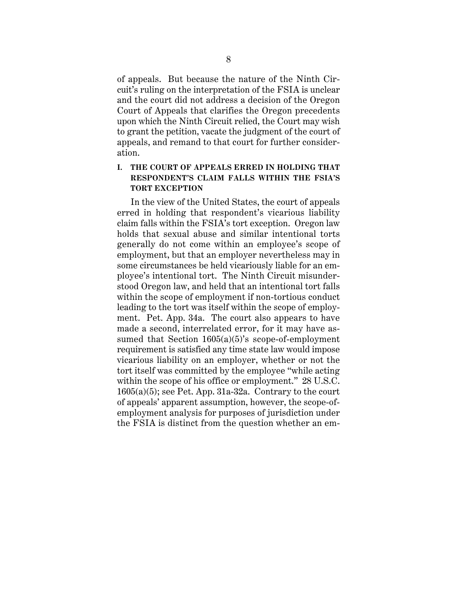of appeals. But because the nature of the Ninth Circuit's ruling on the interpretation of the FSIA is unclear and the court did not address a decision of the Oregon Court of Appeals that clarifies the Oregon precedents upon which the Ninth Circuit relied, the Court may wish to grant the petition, vacate the judgment of the court of appeals, and remand to that court for further consideration.

## **I. THE COURT OF APPEALS ERRED IN HOLDING THAT RESPONDENT'S CLAIM FALLS WITHIN THE FSIA'S TORT EXCEPTION**

In the view of the United States, the court of appeals erred in holding that respondent's vicarious liability claim falls within the FSIA's tort exception. Oregon law holds that sexual abuse and similar intentional torts generally do not come within an employee's scope of employment, but that an employer nevertheless may in some circumstances be held vicariously liable for an employee's intentional tort. The Ninth Circuit misunderstood Oregon law, and held that an intentional tort falls within the scope of employment if non-tortious conduct leading to the tort was itself within the scope of employment. Pet. App. 34a. The court also appears to have made a second, interrelated error, for it may have assumed that Section 1605(a)(5)'s scope-of-employment requirement is satisfied any time state law would impose vicarious liability on an employer, whether or not the tort itself was committed by the employee "while acting within the scope of his office or employment." 28 U.S.C.  $1605(a)(5)$ ; see Pet. App. 31a-32a. Contrary to the court of appeals' apparent assumption, however, the scope-ofemployment analysis for purposes of jurisdiction under the FSIA is distinct from the question whether an em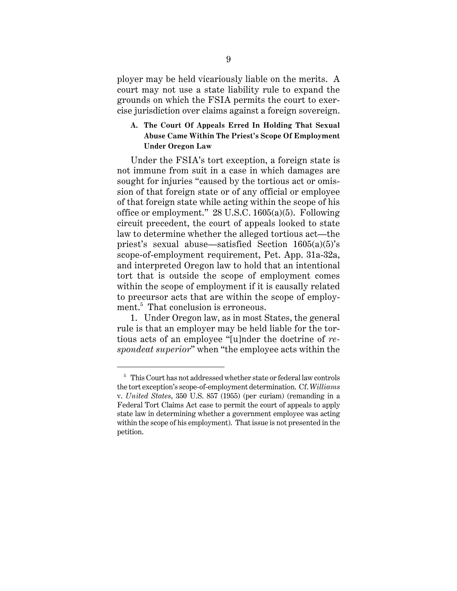ployer may be held vicariously liable on the merits. A court may not use a state liability rule to expand the grounds on which the FSIA permits the court to exercise jurisdiction over claims against a foreign sovereign.

## **A. The Court Of Appeals Erred In Holding That Sexual Abuse Came Within The Priest's Scope Of Employment Under Oregon Law**

Under the FSIA's tort exception, a foreign state is not immune from suit in a case in which damages are sought for injuries "caused by the tortious act or omission of that foreign state or of any official or employee of that foreign state while acting within the scope of his office or employment." 28 U.S.C. 1605(a)(5). Following circuit precedent, the court of appeals looked to state law to determine whether the alleged tortious act—the priest's sexual abuse—satisfied Section 1605(a)(5)'s scope-of-employment requirement, Pet. App. 31a-32a, and interpreted Oregon law to hold that an intentional tort that is outside the scope of employment comes within the scope of employment if it is causally related to precursor acts that are within the scope of employment.<sup>5</sup> That conclusion is erroneous.

1. Under Oregon law, as in most States, the general rule is that an employer may be held liable for the tortious acts of an employee "[u]nder the doctrine of *respondeat superior*" when "the employee acts within the

 $5$  This Court has not addressed whether state or federal law controls the tort exception's scope-of-employment determination. Cf. *Williams* v. *United States*, 350 U.S. 857 (1955) (per curiam) (remanding in a Federal Tort Claims Act case to permit the court of appeals to apply state law in determining whether a government employee was acting within the scope of his employment). That issue is not presented in the petition.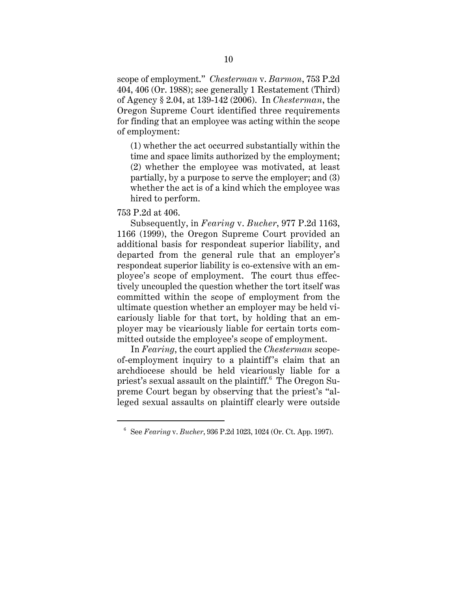scope of employment." *Chesterman* v. *Barmon*, 753 P.2d 404, 406 (Or. 1988); see generally 1 Restatement (Third) of Agency § 2.04, at 139-142 (2006). In *Chesterman*, the Oregon Supreme Court identified three requirements for finding that an employee was acting within the scope of employment:

(1) whether the act occurred substantially within the time and space limits authorized by the employment; (2) whether the employee was motivated, at least partially, by a purpose to serve the employer; and (3) whether the act is of a kind which the employee was hired to perform.

#### 753 P.2d at 406.

Subsequently, in *Fearing* v. *Bucher*, 977 P.2d 1163, 1166 (1999), the Oregon Supreme Court provided an additional basis for respondeat superior liability, and departed from the general rule that an employer's respondeat superior liability is co-extensive with an employee's scope of employment. The court thus effectively uncoupled the question whether the tort itself was committed within the scope of employment from the ultimate question whether an employer may be held vicariously liable for that tort, by holding that an employer may be vicariously liable for certain torts committed outside the employee's scope of employment.

In *Fearing*, the court applied the *Chesterman* scopeof-employment inquiry to a plaintiff's claim that an archdiocese should be held vicariously liable for a priest's sexual assault on the plaintiff.<sup>6</sup> The Oregon Supreme Court began by observing that the priest's "alleged sexual assaults on plaintiff clearly were outside

<sup>6</sup> See *Fearing* v. *Bucher*, 936 P.2d 1023, 1024 (Or. Ct. App. 1997).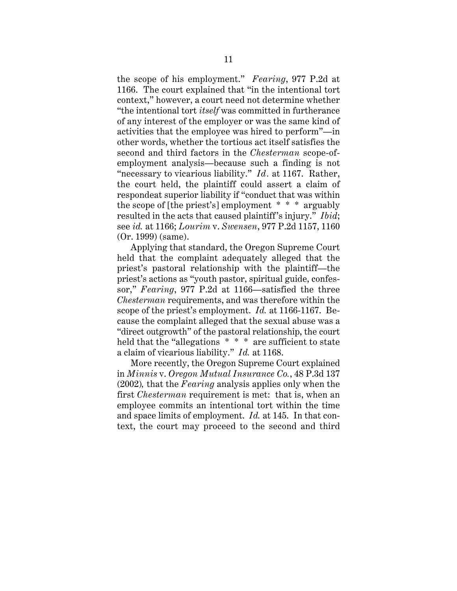the scope of his employment." *Fearing*, 977 P.2d at 1166. The court explained that "in the intentional tort context," however, a court need not determine whether "the intentional tort *itself* was committed in furtherance of any interest of the employer or was the same kind of activities that the employee was hired to perform"—in other words, whether the tortious act itself satisfies the second and third factors in the *Chesterman* scope-ofemployment analysis—because such a finding is not "necessary to vicarious liability." *Id.* at 1167. Rather, the court held, the plaintiff could assert a claim of respondeat superior liability if "conduct that was within the scope of [the priest's] employment \* \* \* arguably resulted in the acts that caused plaintiff's injury." *Ibid.*; see *id.* at 1166; *Lourim* v. *Swensen*, 977 P.2d 1157, 1160 (Or. 1999) (same).

Applying that standard, the Oregon Supreme Court held that the complaint adequately alleged that the priest's pastoral relationship with the plaintiff—the priest's actions as "youth pastor, spiritual guide, confessor," *Fearing*, 977 P.2d at 1166—satisfied the three *Chesterman* requirements, and was therefore within the scope of the priest's employment. *Id.* at 1166-1167. Because the complaint alleged that the sexual abuse was a "direct outgrowth" of the pastoral relationship, the court held that the "allegations  $* * *$  are sufficient to state a claim of vicarious liability." *Id.* at 1168.

More recently, the Oregon Supreme Court explained in *Minnis* v. *Oregon Mutual Insurance Co.*, 48 P.3d 137 (2002)*,* that the *Fearing* analysis applies only when the first *Chesterman* requirement is met: that is, when an employee commits an intentional tort within the time and space limits of employment. *Id.* at 145. In that context, the court may proceed to the second and third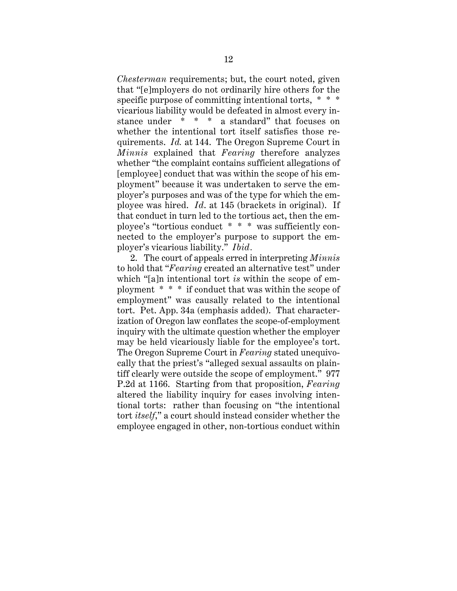*Chesterman* requirements; but, the court noted, given that "[e]mployers do not ordinarily hire others for the specific purpose of committing intentional torts, \* \* \* vicarious liability would be defeated in almost every instance under \* \* \* a standard" that focuses on whether the intentional tort itself satisfies those requirements. *Id.* at 144. The Oregon Supreme Court in *Minnis* explained that *Fearing* therefore analyzes whether "the complaint contains sufficient allegations of [employee] conduct that was within the scope of his employment" because it was undertaken to serve the employer's purposes and was of the type for which the employee was hired. *Id*. at 145 (brackets in original). If that conduct in turn led to the tortious act, then the employee's "tortious conduct \* \* \* was sufficiently connected to the employer's purpose to support the employer's vicarious liability." *Ibid.*

2. The court of appeals erred in interpreting *Minnis* to hold that "*Fearing* created an alternative test" under which "[a]n intentional tort *is* within the scope of employment \* \* \* if conduct that was within the scope of employment" was causally related to the intentional tort. Pet. App. 34a (emphasis added). That characterization of Oregon law conflates the scope-of-employment inquiry with the ultimate question whether the employer may be held vicariously liable for the employee's tort. The Oregon Supreme Court in *Fearing* stated unequivocally that the priest's "alleged sexual assaults on plaintiff clearly were outside the scope of employment." 977 P.2d at 1166. Starting from that proposition, *Fearing* altered the liability inquiry for cases involving intentional torts: rather than focusing on "the intentional tort *itself*," a court should instead consider whether the employee engaged in other, non-tortious conduct within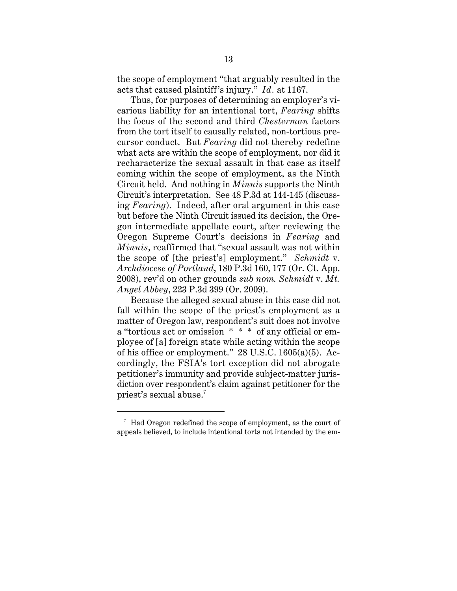the scope of employment "that arguably resulted in the acts that caused plaintiff's injury." *Id.* at 1167.

Thus, for purposes of determining an employer's vicarious liability for an intentional tort, *Fearing* shifts the focus of the second and third *Chesterman* factors from the tort itself to causally related, non-tortious precursor conduct. But *Fearing* did not thereby redefine what acts are within the scope of employment, nor did it recharacterize the sexual assault in that case as itself coming within the scope of employment, as the Ninth Circuit held. And nothing in *Minnis* supports the Ninth Circuit's interpretation. See 48 P.3d at 144-145 (discussing *Fearing*). Indeed, after oral argument in this case but before the Ninth Circuit issued its decision, the Oregon intermediate appellate court, after reviewing the Oregon Supreme Court's decisions in *Fearing* and *Minnis*, reaffirmed that "sexual assault was not within the scope of [the priest's] employment." *Schmidt* v. *Archdiocese of Portland*, 180 P.3d 160, 177 (Or. Ct. App. 2008), rev'd on other grounds *sub nom. Schmidt* v. *Mt. Angel Abbey*, 223 P.3d 399 (Or. 2009).

Because the alleged sexual abuse in this case did not fall within the scope of the priest's employment as a matter of Oregon law, respondent's suit does not involve a "tortious act or omission \* \* \* of any official or employee of [a] foreign state while acting within the scope of his office or employment."  $28$  U.S.C. 1605(a)(5). Accordingly, the FSIA's tort exception did not abrogate petitioner's immunity and provide subject-matter jurisdiction over respondent's claim against petitioner for the priest's sexual abuse.<sup>7</sup>

 $7$  Had Oregon redefined the scope of employment, as the court of appeals believed, to include intentional torts not intended by the em-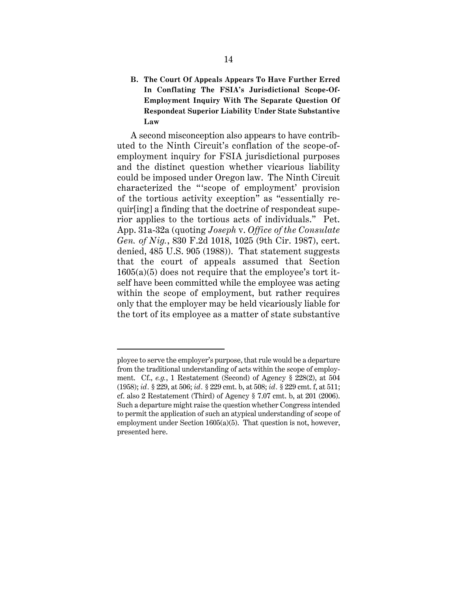**B. The Court Of Appeals Appears To Have Further Erred In Conflating The FSIA's Jurisdictional Scope-Of-Employment Inquiry With The Separate Question Of Respondeat Superior Liability Under State Substantive Law**

A second misconception also appears to have contributed to the Ninth Circuit's conflation of the scope-ofemployment inquiry for FSIA jurisdictional purposes and the distinct question whether vicarious liability could be imposed under Oregon law. The Ninth Circuit characterized the "'scope of employment' provision of the tortious activity exception" as "essentially requir[ing] a finding that the doctrine of respondeat superior applies to the tortious acts of individuals." Pet. App. 31a-32a (quoting *Joseph* v. *Office of the Consulate Gen. of Nig.*, 830 F.2d 1018, 1025 (9th Cir. 1987), cert. denied, 485 U.S. 905 (1988)). That statement suggests that the court of appeals assumed that Section  $1605(a)(5)$  does not require that the employee's tort itself have been committed while the employee was acting within the scope of employment, but rather requires only that the employer may be held vicariously liable for the tort of its employee as a matter of state substantive

ployee to serve the employer's purpose, that rule would be a departure from the traditional understanding of acts within the scope of employment. Cf., *e.g.*, 1 Restatement (Second) of Agency § 228(2), at 504 (1958); *id.* § 229, at 506; *id.* § 229 cmt. b, at 508; *id.* § 229 cmt. f, at 511; cf. also 2 Restatement (Third) of Agency  $\S 7.07$  cmt. b, at 201 (2006). Such a departure might raise the question whether Congress intended to permit the application of such an atypical understanding of scope of employment under Section 1605(a)(5). That question is not, however, presented here.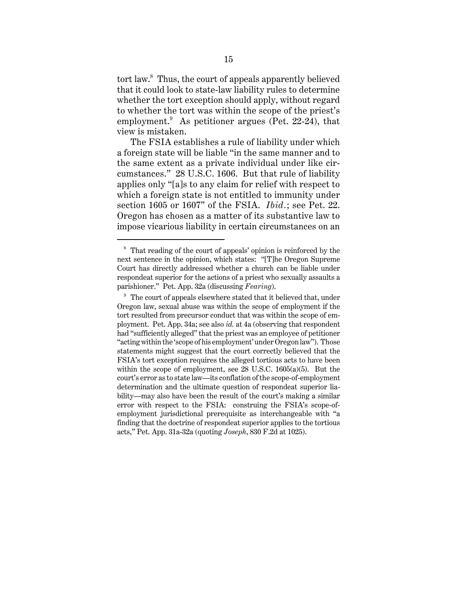tort law.<sup>8</sup> Thus, the court of appeals apparently believed that it could look to state-law liability rules to determine whether the tort exception should apply, without regard to whether the tort was within the scope of the priest's employment.<sup>9</sup> As petitioner argues (Pet. 22-24), that view is mistaken.

The FSIA establishes a rule of liability under which a foreign state will be liable "in the same manner and to the same extent as a private individual under like circumstances." 28 U.S.C. 1606. But that rule of liability applies only "[a]s to any claim for relief with respect to which a foreign state is not entitled to immunity under section 1605 or 1607" of the FSIA. *Ibid.*; see Pet. 22. Oregon has chosen as a matter of its substantive law to impose vicarious liability in certain circumstances on an

<sup>8</sup> That reading of the court of appeals' opinion is reinforced by the next sentence in the opinion, which states: "[T]he Oregon Supreme Court has directly addressed whether a church can be liable under respondeat superior for the actions of a priest who sexually assaults a parishioner." Pet. App. 32a (discussing *Fearing*).

 $9$  The court of appeals elsewhere stated that it believed that, under Oregon law, sexual abuse was within the scope of employment if the tort resulted from precursor conduct that was within the scope of employment. Pet. App. 34a; see also *id.* at 4a (observing that respondent had "sufficiently alleged" that the priest was an employee of petitioner "acting within the 'scope of his employment' under Oregon law"). Those statements might suggest that the court correctly believed that the FSIA's tort exception requires the alleged tortious acts to have been within the scope of employment, see 28 U.S.C. 1605(a)(5). But the court's error as to state law—its conflation of the scope-of-employment determination and the ultimate question of respondeat superior liability—may also have been the result of the court's making a similar error with respect to the FSIA: construing the FSIA's scope-ofemployment jurisdictional prerequisite as interchangeable with "a finding that the doctrine of respondeat superior applies to the tortious acts," Pet. App. 31a-32a (quoting *Joseph*, 830 F.2d at 1025).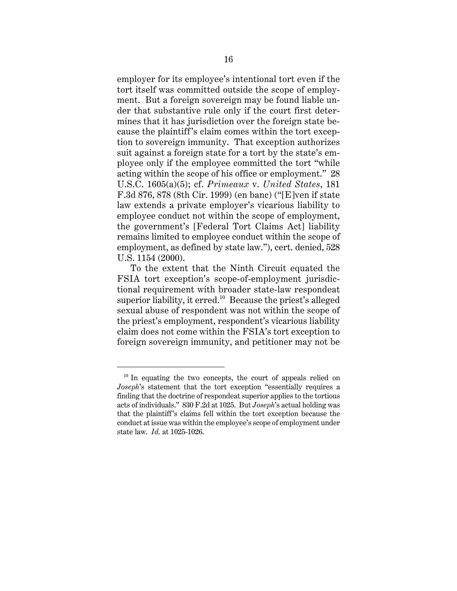employer for its employee's intentional tort even if the tort itself was committed outside the scope of employment. But a foreign sovereign may be found liable under that substantive rule only if the court first determines that it has jurisdiction over the foreign state because the plaintiff's claim comes within the tort exception to sovereign immunity. That exception authorizes suit against a foreign state for a tort by the state's employee only if the employee committed the tort "while acting within the scope of his office or employment." 28 U.S.C. 1605(a)(5); cf. *Primeaux* v. *United States*, 181 F.3d 876, 878 (8th Cir. 1999) (en banc) ("[E]ven if state law extends a private employer's vicarious liability to employee conduct not within the scope of employment, the government's [Federal Tort Claims Act] liability remains limited to employee conduct within the scope of employment, as defined by state law."), cert. denied, 528 U.S. 1154 (2000).

To the extent that the Ninth Circuit equated the FSIA tort exception's scope-of-employment jurisdictional requirement with broader state-law respondeat superior liability, it erred.<sup>10</sup> Because the priest's alleged sexual abuse of respondent was not within the scope of the priest's employment, respondent's vicarious liability claim does not come within the FSIA's tort exception to foreign sovereign immunity, and petitioner may not be

 $10$  In equating the two concepts, the court of appeals relied on *Joseph*'s statement that the tort exception "essentially requires a finding that the doctrine of respondeat superior applies to the tortious acts of individuals." 830 F.2d at 1025. But *Joseph*'s actual holding was that the plaintiff's claims fell within the tort exception because the conduct at issue was within the employee's scope of employment under state law. *Id.* at 1025-1026.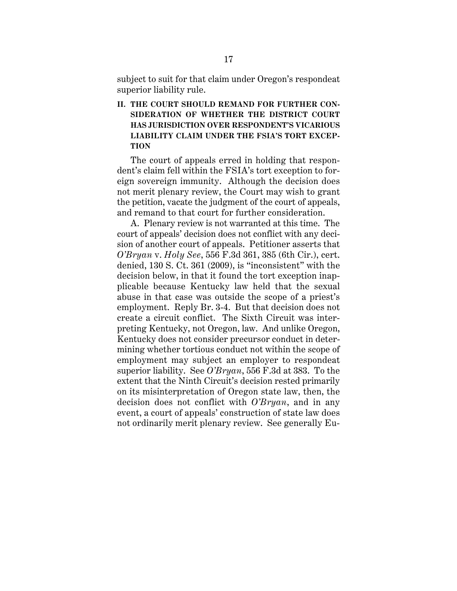subject to suit for that claim under Oregon's respondeat superior liability rule.

**II. THE COURT SHOULD REMAND FOR FURTHER CON-SIDERATION OF WHETHER THE DISTRICT COURT HAS JURISDICTION OVER RESPONDENT'S VICARIOUS LIABILITY CLAIM UNDER THE FSIA'S TORT EXCEP-TION**

The court of appeals erred in holding that respondent's claim fell within the FSIA's tort exception to foreign sovereign immunity. Although the decision does not merit plenary review, the Court may wish to grant the petition, vacate the judgment of the court of appeals, and remand to that court for further consideration.

A. Plenary review is not warranted at this time. The court of appeals' decision does not conflict with any decision of another court of appeals. Petitioner asserts that *O'Bryan* v. *Holy See*, 556 F.3d 361, 385 (6th Cir.), cert. denied, 130 S. Ct. 361 (2009), is "inconsistent" with the decision below, in that it found the tort exception inapplicable because Kentucky law held that the sexual abuse in that case was outside the scope of a priest's employment. Reply Br. 3-4. But that decision does not create a circuit conflict. The Sixth Circuit was interpreting Kentucky, not Oregon, law. And unlike Oregon, Kentucky does not consider precursor conduct in determining whether tortious conduct not within the scope of employment may subject an employer to respondeat superior liability. See *O'Bryan*, 556 F.3d at 383. To the extent that the Ninth Circuit's decision rested primarily on its misinterpretation of Oregon state law, then, the decision does not conflict with *O'Bryan*, and in any event, a court of appeals' construction of state law does not ordinarily merit plenary review. See generally Eu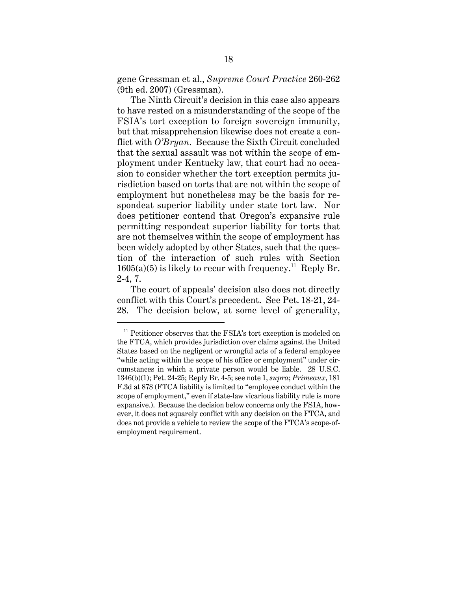gene Gressman et al., *Supreme Court Practice* 260-262 (9th ed. 2007) (Gressman).

The Ninth Circuit's decision in this case also appears to have rested on a misunderstanding of the scope of the FSIA's tort exception to foreign sovereign immunity, but that misapprehension likewise does not create a conflict with *O'Bryan*. Because the Sixth Circuit concluded that the sexual assault was not within the scope of employment under Kentucky law, that court had no occasion to consider whether the tort exception permits jurisdiction based on torts that are not within the scope of employment but nonetheless may be the basis for respondeat superior liability under state tort law. Nor does petitioner contend that Oregon's expansive rule permitting respondeat superior liability for torts that are not themselves within the scope of employment has been widely adopted by other States, such that the question of the interaction of such rules with Section  $1605(a)(5)$  is likely to recur with frequency.<sup>11</sup> Reply Br. 2-4, 7.

The court of appeals' decision also does not directly conflict with this Court's precedent. See Pet. 18-21, 24- 28. The decision below, at some level of generality,

 $11$  Petitioner observes that the FSIA's tort exception is modeled on the FTCA, which provides jurisdiction over claims against the United States based on the negligent or wrongful acts of a federal employee "while acting within the scope of his office or employment" under circumstances in which a private person would be liable. 28 U.S.C. 1346(b)(1); Pet. 24-25; Reply Br. 4-5; see note 1, *supra*; *Primeaux*, 181 F.3d at 878 (FTCA liability is limited to "employee conduct within the scope of employment," even if state-law vicarious liability rule is more expansive.). Because the decision below concerns only the FSIA, however, it does not squarely conflict with any decision on the FTCA, and does not provide a vehicle to review the scope of the FTCA's scope-ofemployment requirement.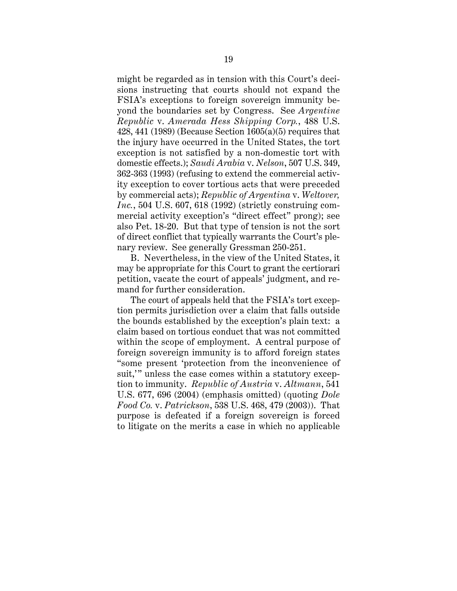might be regarded as in tension with this Court's decisions instructing that courts should not expand the FSIA's exceptions to foreign sovereign immunity beyond the boundaries set by Congress. See *Argentine Republic* v. *Amerada Hess Shipping Corp.*, 488 U.S. 428, 441 (1989) (Because Section 1605(a)(5) requires that the injury have occurred in the United States, the tort exception is not satisfied by a non-domestic tort with domestic effects.); *Saudi Arabia* v. *Nelson*, 507 U.S. 349, 362-363 (1993) (refusing to extend the commercial activity exception to cover tortious acts that were preceded by commercial acts); *Republic of Argentina* v. *Weltover, Inc.*, 504 U.S. 607, 618 (1992) (strictly construing commercial activity exception's "direct effect" prong); see also Pet. 18-20. But that type of tension is not the sort of direct conflict that typically warrants the Court's plenary review. See generally Gressman 250-251.

B. Nevertheless, in the view of the United States, it may be appropriate for this Court to grant the certiorari petition, vacate the court of appeals' judgment, and remand for further consideration.

The court of appeals held that the FSIA's tort exception permits jurisdiction over a claim that falls outside the bounds established by the exception's plain text: a claim based on tortious conduct that was not committed within the scope of employment. A central purpose of foreign sovereign immunity is to afford foreign states "some present 'protection from the inconvenience of suit,'" unless the case comes within a statutory exception to immunity. *Republic of Austria* v. *Altmann*, 541 U.S. 677, 696 (2004) (emphasis omitted) (quoting *Dole Food Co.* v. *Patrickson*, 538 U.S. 468, 479 (2003)). That purpose is defeated if a foreign sovereign is forced to litigate on the merits a case in which no applicable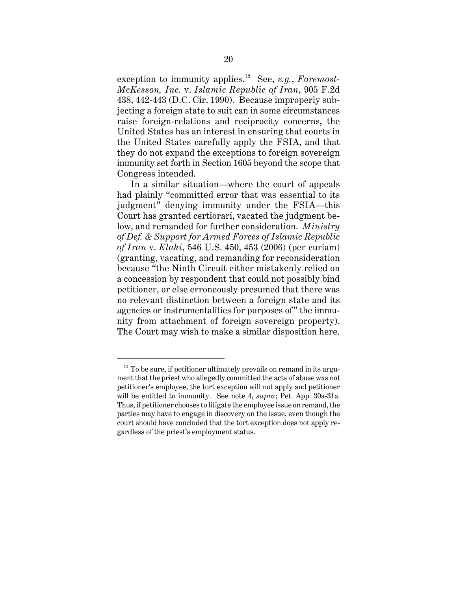exception to immunity applies.12 See, *e.g.*, *Foremost-McKesson, Inc.* v. *Islamic Republic of Iran*, 905 F.2d 438, 442-443 (D.C. Cir. 1990). Because improperly subjecting a foreign state to suit can in some circumstances raise foreign-relations and reciprocity concerns, the United States has an interest in ensuring that courts in the United States carefully apply the FSIA, and that they do not expand the exceptions to foreign sovereign immunity set forth in Section 1605 beyond the scope that Congress intended.

In a similar situation—where the court of appeals had plainly "committed error that was essential to its judgment" denying immunity under the FSIA—this Court has granted certiorari, vacated the judgment below, and remanded for further consideration. *Ministry of Def. & Support for Armed Forces of Islamic Republic of Iran* v. *Elahi*, 546 U.S. 450, 453 (2006) (per curiam) (granting, vacating, and remanding for reconsideration because "the Ninth Circuit either mistakenly relied on a concession by respondent that could not possibly bind petitioner, or else erroneously presumed that there was no relevant distinction between a foreign state and its agencies or instrumentalities for purposes of" the immunity from attachment of foreign sovereign property). The Court may wish to make a similar disposition here.

 $12$  To be sure, if petitioner ultimately prevails on remand in its argument that the priest who allegedly committed the acts of abuse was not petitioner's employee, the tort exception will not apply and petitioner will be entitled to immunity. See note 4, *supra*; Pet. App. 30a-31a. Thus, if petitioner chooses to litigate the employee issue on remand, the parties may have to engage in discovery on the issue, even though the court should have concluded that the tort exception does not apply regardless of the priest's employment status.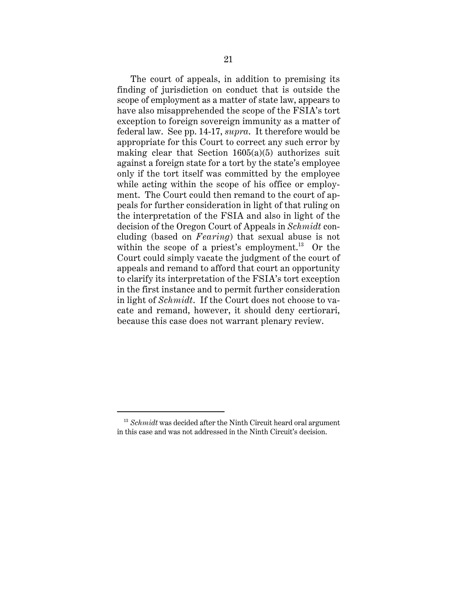The court of appeals, in addition to premising its finding of jurisdiction on conduct that is outside the scope of employment as a matter of state law, appears to have also misapprehended the scope of the FSIA's tort exception to foreign sovereign immunity as a matter of federal law. See pp. 14-17, *supra*. It therefore would be appropriate for this Court to correct any such error by making clear that Section  $1605(a)(5)$  authorizes suit against a foreign state for a tort by the state's employee only if the tort itself was committed by the employee while acting within the scope of his office or employment. The Court could then remand to the court of appeals for further consideration in light of that ruling on the interpretation of the FSIA and also in light of the decision of the Oregon Court of Appeals in *Schmidt* concluding (based on *Fearing*) that sexual abuse is not within the scope of a priest's employment. $^{13}$  Or the Court could simply vacate the judgment of the court of appeals and remand to afford that court an opportunity to clarify its interpretation of the FSIA's tort exception in the first instance and to permit further consideration in light of *Schmidt*. If the Court does not choose to vacate and remand, however, it should deny certiorari, because this case does not warrant plenary review.

<sup>&</sup>lt;sup>13</sup> *Schmidt* was decided after the Ninth Circuit heard oral argument in this case and was not addressed in the Ninth Circuit's decision.